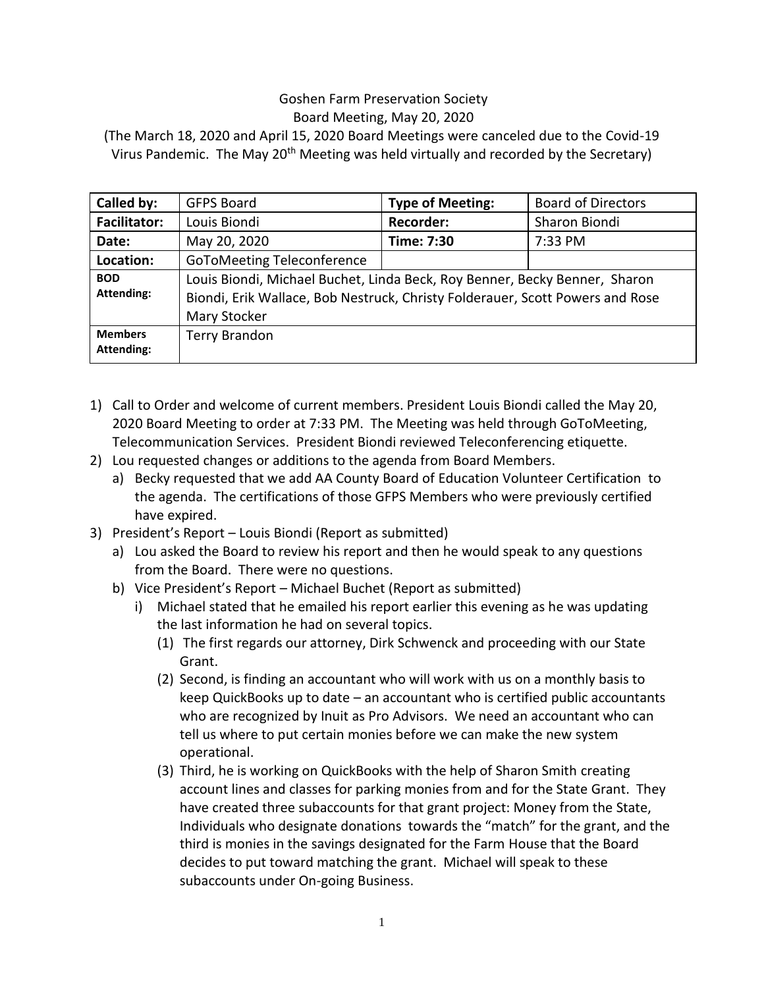## Goshen Farm Preservation Society Board Meeting, May 20, 2020

(The March 18, 2020 and April 15, 2020 Board Meetings were canceled due to the Covid-19 Virus Pandemic. The May  $20<sup>th</sup>$  Meeting was held virtually and recorded by the Secretary)

| Called by:                          | <b>GFPS Board</b>                                                                                                                                                           | <b>Type of Meeting:</b> | <b>Board of Directors</b> |
|-------------------------------------|-----------------------------------------------------------------------------------------------------------------------------------------------------------------------------|-------------------------|---------------------------|
| <b>Facilitator:</b>                 | Louis Biondi                                                                                                                                                                | <b>Recorder:</b>        | Sharon Biondi             |
| Date:                               | May 20, 2020                                                                                                                                                                | Time: 7:30              | 7:33 PM                   |
| Location:                           | <b>GoToMeeting Teleconference</b>                                                                                                                                           |                         |                           |
| <b>BOD</b><br><b>Attending:</b>     | Louis Biondi, Michael Buchet, Linda Beck, Roy Benner, Becky Benner, Sharon<br>Biondi, Erik Wallace, Bob Nestruck, Christy Folderauer, Scott Powers and Rose<br>Mary Stocker |                         |                           |
| <b>Members</b><br><b>Attending:</b> | <b>Terry Brandon</b>                                                                                                                                                        |                         |                           |

- 1) Call to Order and welcome of current members. President Louis Biondi called the May 20, 2020 Board Meeting to order at 7:33 PM. The Meeting was held through GoToMeeting, Telecommunication Services. President Biondi reviewed Teleconferencing etiquette.
- 2) Lou requested changes or additions to the agenda from Board Members.
	- a) Becky requested that we add AA County Board of Education Volunteer Certification to the agenda. The certifications of those GFPS Members who were previously certified have expired.
- 3) President's Report Louis Biondi (Report as submitted)
	- a) Lou asked the Board to review his report and then he would speak to any questions from the Board. There were no questions.
	- b) Vice President's Report Michael Buchet (Report as submitted)
		- i) Michael stated that he emailed his report earlier this evening as he was updating the last information he had on several topics.
			- (1) The first regards our attorney, Dirk Schwenck and proceeding with our State Grant.
			- (2) Second, is finding an accountant who will work with us on a monthly basis to keep QuickBooks up to date – an accountant who is certified public accountants who are recognized by Inuit as Pro Advisors. We need an accountant who can tell us where to put certain monies before we can make the new system operational.
			- (3) Third, he is working on QuickBooks with the help of Sharon Smith creating account lines and classes for parking monies from and for the State Grant. They have created three subaccounts for that grant project: Money from the State, Individuals who designate donations towards the "match" for the grant, and the third is monies in the savings designated for the Farm House that the Board decides to put toward matching the grant. Michael will speak to these subaccounts under On-going Business.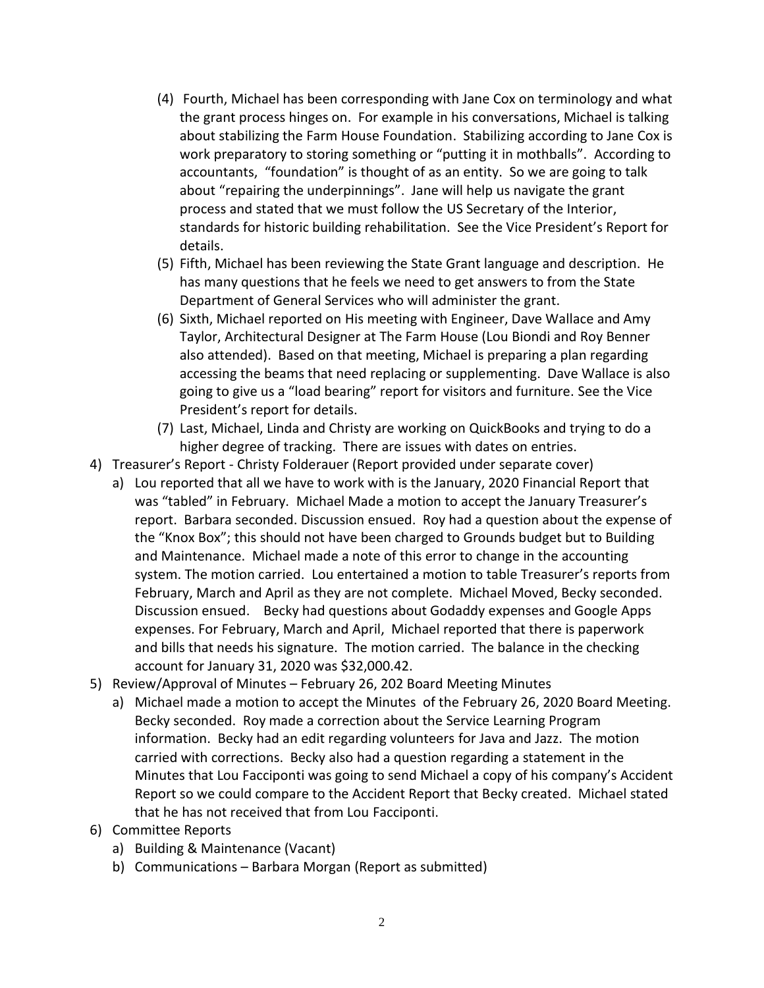- (4) Fourth, Michael has been corresponding with Jane Cox on terminology and what the grant process hinges on. For example in his conversations, Michael is talking about stabilizing the Farm House Foundation. Stabilizing according to Jane Cox is work preparatory to storing something or "putting it in mothballs". According to accountants, "foundation" is thought of as an entity. So we are going to talk about "repairing the underpinnings". Jane will help us navigate the grant process and stated that we must follow the US Secretary of the Interior, standards for historic building rehabilitation. See the Vice President's Report for details.
- (5) Fifth, Michael has been reviewing the State Grant language and description. He has many questions that he feels we need to get answers to from the State Department of General Services who will administer the grant.
- (6) Sixth, Michael reported on His meeting with Engineer, Dave Wallace and Amy Taylor, Architectural Designer at The Farm House (Lou Biondi and Roy Benner also attended). Based on that meeting, Michael is preparing a plan regarding accessing the beams that need replacing or supplementing. Dave Wallace is also going to give us a "load bearing" report for visitors and furniture. See the Vice President's report for details.
- (7) Last, Michael, Linda and Christy are working on QuickBooks and trying to do a higher degree of tracking. There are issues with dates on entries.
- 4) Treasurer's Report Christy Folderauer (Report provided under separate cover)
	- a) Lou reported that all we have to work with is the January, 2020 Financial Report that was "tabled" in February. Michael Made a motion to accept the January Treasurer's report. Barbara seconded. Discussion ensued. Roy had a question about the expense of the "Knox Box"; this should not have been charged to Grounds budget but to Building and Maintenance. Michael made a note of this error to change in the accounting system. The motion carried. Lou entertained a motion to table Treasurer's reports from February, March and April as they are not complete. Michael Moved, Becky seconded. Discussion ensued. Becky had questions about Godaddy expenses and Google Apps expenses. For February, March and April, Michael reported that there is paperwork and bills that needs his signature. The motion carried. The balance in the checking account for January 31, 2020 was \$32,000.42.
- 5) Review/Approval of Minutes February 26, 202 Board Meeting Minutes
	- a) Michael made a motion to accept the Minutes of the February 26, 2020 Board Meeting. Becky seconded. Roy made a correction about the Service Learning Program information. Becky had an edit regarding volunteers for Java and Jazz. The motion carried with corrections. Becky also had a question regarding a statement in the Minutes that Lou Facciponti was going to send Michael a copy of his company's Accident Report so we could compare to the Accident Report that Becky created. Michael stated that he has not received that from Lou Facciponti.
- 6) Committee Reports
	- a) Building & Maintenance (Vacant)
	- b) Communications Barbara Morgan (Report as submitted)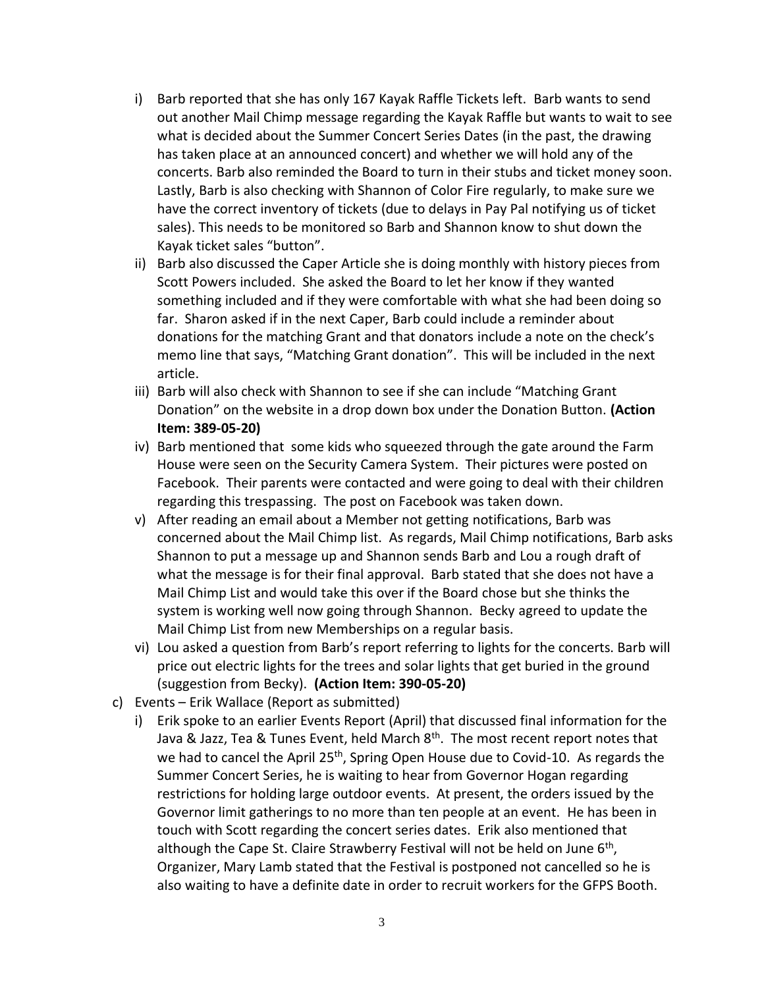- i) Barb reported that she has only 167 Kayak Raffle Tickets left. Barb wants to send out another Mail Chimp message regarding the Kayak Raffle but wants to wait to see what is decided about the Summer Concert Series Dates (in the past, the drawing has taken place at an announced concert) and whether we will hold any of the concerts. Barb also reminded the Board to turn in their stubs and ticket money soon. Lastly, Barb is also checking with Shannon of Color Fire regularly, to make sure we have the correct inventory of tickets (due to delays in Pay Pal notifying us of ticket sales). This needs to be monitored so Barb and Shannon know to shut down the Kayak ticket sales "button".
- ii) Barb also discussed the Caper Article she is doing monthly with history pieces from Scott Powers included. She asked the Board to let her know if they wanted something included and if they were comfortable with what she had been doing so far. Sharon asked if in the next Caper, Barb could include a reminder about donations for the matching Grant and that donators include a note on the check's memo line that says, "Matching Grant donation". This will be included in the next article.
- iii) Barb will also check with Shannon to see if she can include "Matching Grant Donation" on the website in a drop down box under the Donation Button. **(Action Item: 389-05-20)**
- iv) Barb mentioned that some kids who squeezed through the gate around the Farm House were seen on the Security Camera System. Their pictures were posted on Facebook. Their parents were contacted and were going to deal with their children regarding this trespassing. The post on Facebook was taken down.
- v) After reading an email about a Member not getting notifications, Barb was concerned about the Mail Chimp list. As regards, Mail Chimp notifications, Barb asks Shannon to put a message up and Shannon sends Barb and Lou a rough draft of what the message is for their final approval. Barb stated that she does not have a Mail Chimp List and would take this over if the Board chose but she thinks the system is working well now going through Shannon. Becky agreed to update the Mail Chimp List from new Memberships on a regular basis.
- vi) Lou asked a question from Barb's report referring to lights for the concerts. Barb will price out electric lights for the trees and solar lights that get buried in the ground (suggestion from Becky). **(Action Item: 390-05-20)**
- c) Events Erik Wallace (Report as submitted)
	- i) Erik spoke to an earlier Events Report (April) that discussed final information for the Java & Jazz, Tea & Tunes Event, held March  $8<sup>th</sup>$ . The most recent report notes that we had to cancel the April 25<sup>th</sup>, Spring Open House due to Covid-10. As regards the Summer Concert Series, he is waiting to hear from Governor Hogan regarding restrictions for holding large outdoor events. At present, the orders issued by the Governor limit gatherings to no more than ten people at an event. He has been in touch with Scott regarding the concert series dates. Erik also mentioned that although the Cape St. Claire Strawberry Festival will not be held on June 6<sup>th</sup>, Organizer, Mary Lamb stated that the Festival is postponed not cancelled so he is also waiting to have a definite date in order to recruit workers for the GFPS Booth.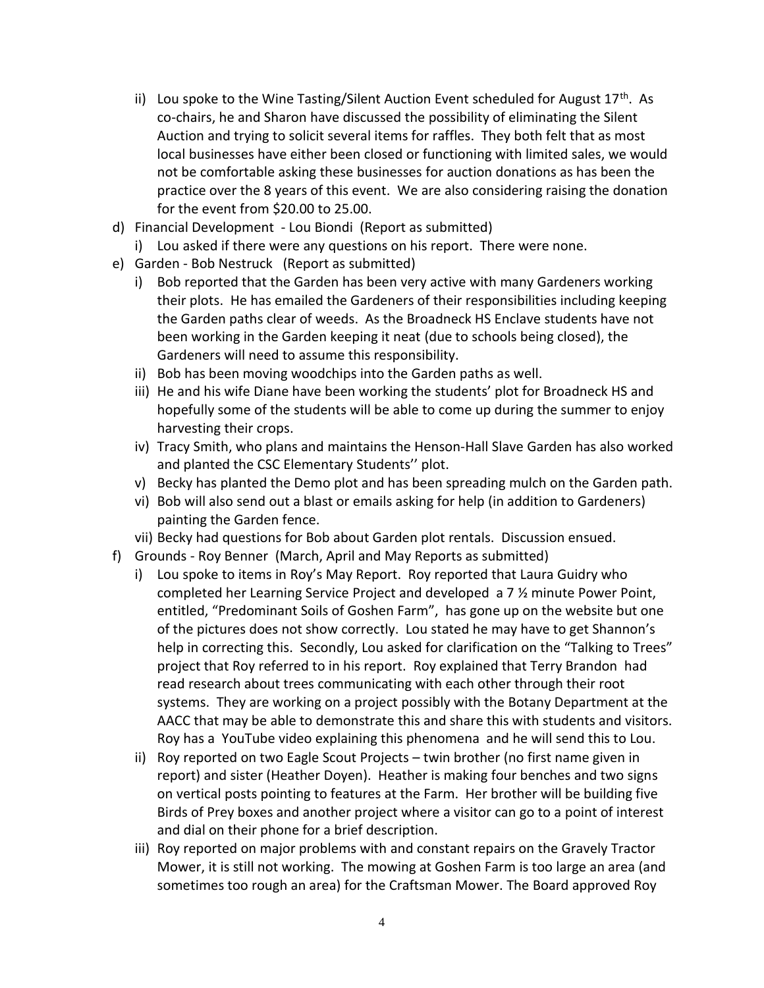- ii) Lou spoke to the Wine Tasting/Silent Auction Event scheduled for August  $17<sup>th</sup>$ . As co-chairs, he and Sharon have discussed the possibility of eliminating the Silent Auction and trying to solicit several items for raffles. They both felt that as most local businesses have either been closed or functioning with limited sales, we would not be comfortable asking these businesses for auction donations as has been the practice over the 8 years of this event. We are also considering raising the donation for the event from \$20.00 to 25.00.
- d) Financial Development Lou Biondi (Report as submitted)
- i) Lou asked if there were any questions on his report. There were none.
- e) Garden Bob Nestruck (Report as submitted)
	- i) Bob reported that the Garden has been very active with many Gardeners working their plots. He has emailed the Gardeners of their responsibilities including keeping the Garden paths clear of weeds. As the Broadneck HS Enclave students have not been working in the Garden keeping it neat (due to schools being closed), the Gardeners will need to assume this responsibility.
	- ii) Bob has been moving woodchips into the Garden paths as well.
	- iii) He and his wife Diane have been working the students' plot for Broadneck HS and hopefully some of the students will be able to come up during the summer to enjoy harvesting their crops.
	- iv) Tracy Smith, who plans and maintains the Henson-Hall Slave Garden has also worked and planted the CSC Elementary Students'' plot.
	- v) Becky has planted the Demo plot and has been spreading mulch on the Garden path.
	- vi) Bob will also send out a blast or emails asking for help (in addition to Gardeners) painting the Garden fence.
	- vii) Becky had questions for Bob about Garden plot rentals. Discussion ensued.
- f) Grounds Roy Benner (March, April and May Reports as submitted)
	- i) Lou spoke to items in Roy's May Report. Roy reported that Laura Guidry who completed her Learning Service Project and developed a 7 ½ minute Power Point, entitled, "Predominant Soils of Goshen Farm", has gone up on the website but one of the pictures does not show correctly. Lou stated he may have to get Shannon's help in correcting this. Secondly, Lou asked for clarification on the "Talking to Trees" project that Roy referred to in his report. Roy explained that Terry Brandon had read research about trees communicating with each other through their root systems. They are working on a project possibly with the Botany Department at the AACC that may be able to demonstrate this and share this with students and visitors. Roy has a YouTube video explaining this phenomena and he will send this to Lou.
	- ii) Roy reported on two Eagle Scout Projects twin brother (no first name given in report) and sister (Heather Doyen). Heather is making four benches and two signs on vertical posts pointing to features at the Farm. Her brother will be building five Birds of Prey boxes and another project where a visitor can go to a point of interest and dial on their phone for a brief description.
	- iii) Roy reported on major problems with and constant repairs on the Gravely Tractor Mower, it is still not working. The mowing at Goshen Farm is too large an area (and sometimes too rough an area) for the Craftsman Mower. The Board approved Roy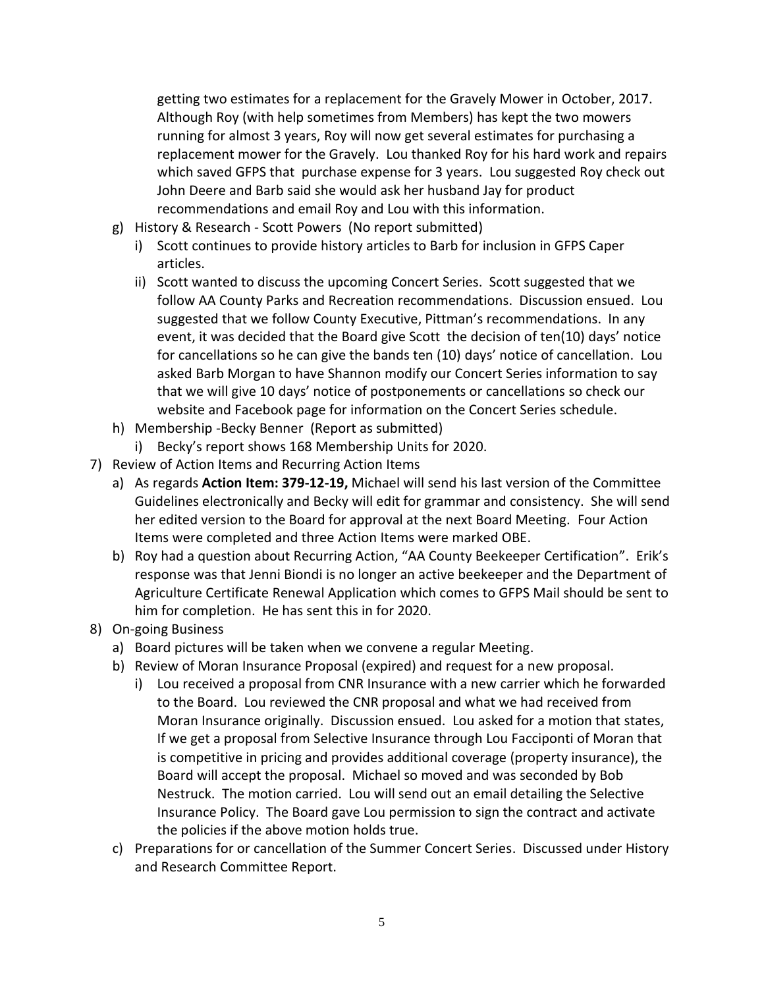getting two estimates for a replacement for the Gravely Mower in October, 2017. Although Roy (with help sometimes from Members) has kept the two mowers running for almost 3 years, Roy will now get several estimates for purchasing a replacement mower for the Gravely. Lou thanked Roy for his hard work and repairs which saved GFPS that purchase expense for 3 years. Lou suggested Roy check out John Deere and Barb said she would ask her husband Jay for product recommendations and email Roy and Lou with this information.

- g) History & Research Scott Powers (No report submitted)
	- i) Scott continues to provide history articles to Barb for inclusion in GFPS Caper articles.
	- ii) Scott wanted to discuss the upcoming Concert Series. Scott suggested that we follow AA County Parks and Recreation recommendations. Discussion ensued. Lou suggested that we follow County Executive, Pittman's recommendations. In any event, it was decided that the Board give Scott the decision of ten(10) days' notice for cancellations so he can give the bands ten (10) days' notice of cancellation. Lou asked Barb Morgan to have Shannon modify our Concert Series information to say that we will give 10 days' notice of postponements or cancellations so check our website and Facebook page for information on the Concert Series schedule.
- h) Membership -Becky Benner (Report as submitted)
	- i) Becky's report shows 168 Membership Units for 2020.
- 7) Review of Action Items and Recurring Action Items
	- a) As regards **Action Item: 379-12-19,** Michael will send his last version of the Committee Guidelines electronically and Becky will edit for grammar and consistency. She will send her edited version to the Board for approval at the next Board Meeting. Four Action Items were completed and three Action Items were marked OBE.
	- b) Roy had a question about Recurring Action, "AA County Beekeeper Certification". Erik's response was that Jenni Biondi is no longer an active beekeeper and the Department of Agriculture Certificate Renewal Application which comes to GFPS Mail should be sent to him for completion. He has sent this in for 2020.
- 8) On-going Business
	- a) Board pictures will be taken when we convene a regular Meeting.
	- b) Review of Moran Insurance Proposal (expired) and request for a new proposal.
		- i) Lou received a proposal from CNR Insurance with a new carrier which he forwarded to the Board. Lou reviewed the CNR proposal and what we had received from Moran Insurance originally. Discussion ensued. Lou asked for a motion that states, If we get a proposal from Selective Insurance through Lou Facciponti of Moran that is competitive in pricing and provides additional coverage (property insurance), the Board will accept the proposal. Michael so moved and was seconded by Bob Nestruck. The motion carried. Lou will send out an email detailing the Selective Insurance Policy. The Board gave Lou permission to sign the contract and activate the policies if the above motion holds true.
	- c) Preparations for or cancellation of the Summer Concert Series. Discussed under History and Research Committee Report.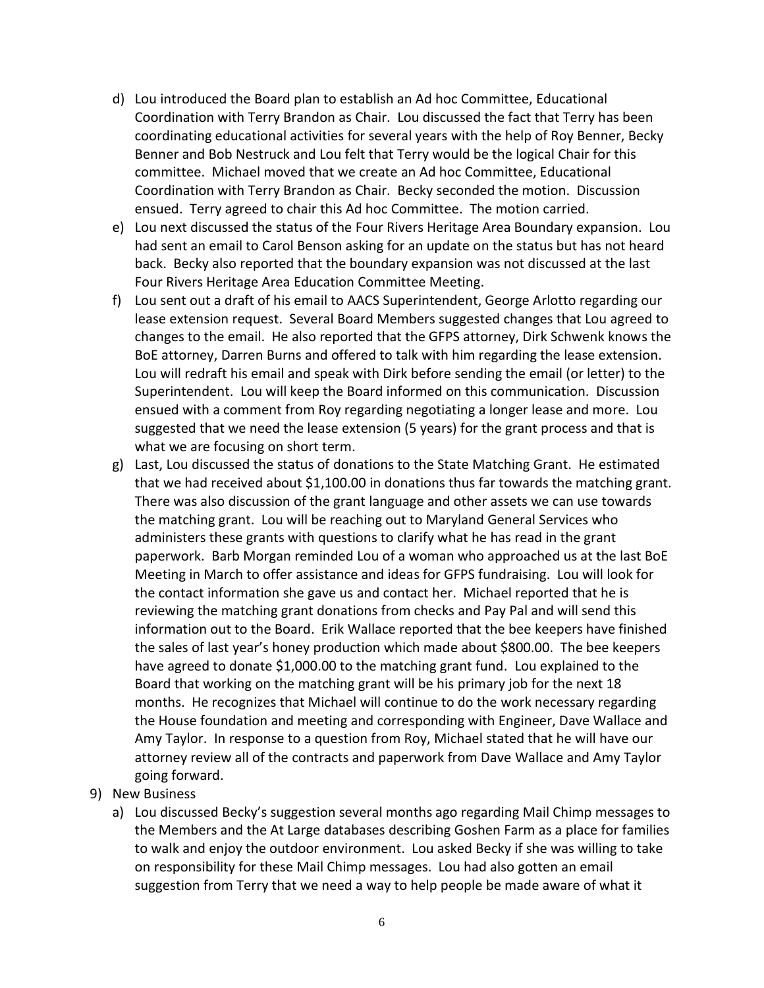- d) Lou introduced the Board plan to establish an Ad hoc Committee, Educational Coordination with Terry Brandon as Chair. Lou discussed the fact that Terry has been coordinating educational activities for several years with the help of Roy Benner, Becky Benner and Bob Nestruck and Lou felt that Terry would be the logical Chair for this committee. Michael moved that we create an Ad hoc Committee, Educational Coordination with Terry Brandon as Chair. Becky seconded the motion. Discussion ensued. Terry agreed to chair this Ad hoc Committee. The motion carried.
- e) Lou next discussed the status of the Four Rivers Heritage Area Boundary expansion. Lou had sent an email to Carol Benson asking for an update on the status but has not heard back. Becky also reported that the boundary expansion was not discussed at the last Four Rivers Heritage Area Education Committee Meeting.
- f) Lou sent out a draft of his email to AACS Superintendent, George Arlotto regarding our lease extension request. Several Board Members suggested changes that Lou agreed to changes to the email. He also reported that the GFPS attorney, Dirk Schwenk knows the BoE attorney, Darren Burns and offered to talk with him regarding the lease extension. Lou will redraft his email and speak with Dirk before sending the email (or letter) to the Superintendent. Lou will keep the Board informed on this communication. Discussion ensued with a comment from Roy regarding negotiating a longer lease and more. Lou suggested that we need the lease extension (5 years) for the grant process and that is what we are focusing on short term.
- g) Last, Lou discussed the status of donations to the State Matching Grant. He estimated that we had received about \$1,100.00 in donations thus far towards the matching grant. There was also discussion of the grant language and other assets we can use towards the matching grant. Lou will be reaching out to Maryland General Services who administers these grants with questions to clarify what he has read in the grant paperwork. Barb Morgan reminded Lou of a woman who approached us at the last BoE Meeting in March to offer assistance and ideas for GFPS fundraising. Lou will look for the contact information she gave us and contact her. Michael reported that he is reviewing the matching grant donations from checks and Pay Pal and will send this information out to the Board. Erik Wallace reported that the bee keepers have finished the sales of last year's honey production which made about \$800.00. The bee keepers have agreed to donate \$1,000.00 to the matching grant fund. Lou explained to the Board that working on the matching grant will be his primary job for the next 18 months. He recognizes that Michael will continue to do the work necessary regarding the House foundation and meeting and corresponding with Engineer, Dave Wallace and Amy Taylor. In response to a question from Roy, Michael stated that he will have our attorney review all of the contracts and paperwork from Dave Wallace and Amy Taylor going forward.
- 9) New Business
	- a) Lou discussed Becky's suggestion several months ago regarding Mail Chimp messages to the Members and the At Large databases describing Goshen Farm as a place for families to walk and enjoy the outdoor environment. Lou asked Becky if she was willing to take on responsibility for these Mail Chimp messages. Lou had also gotten an email suggestion from Terry that we need a way to help people be made aware of what it